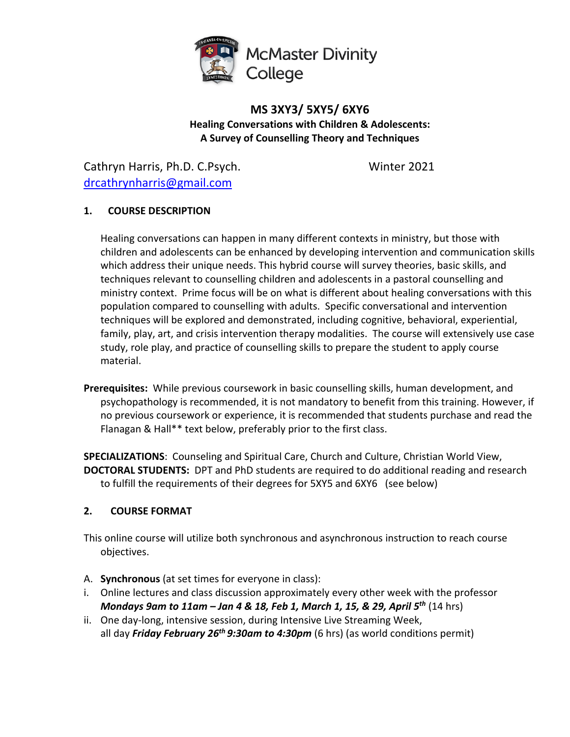

# **MS 3XY3/ 5XY5/ 6XY6 Healing Conversations with Children & Adolescents: A Survey of Counselling Theory and Techniques**

Cathryn Harris, Ph.D. C.Psych. Winter 2021 drcathrynharris@gmail.com

# **1. COURSE DESCRIPTION**

Healing conversations can happen in many different contexts in ministry, but those with children and adolescents can be enhanced by developing intervention and communication skills which address their unique needs. This hybrid course will survey theories, basic skills, and techniques relevant to counselling children and adolescents in a pastoral counselling and ministry context. Prime focus will be on what is different about healing conversations with this population compared to counselling with adults. Specific conversational and intervention techniques will be explored and demonstrated, including cognitive, behavioral, experiential, family, play, art, and crisis intervention therapy modalities. The course will extensively use case study, role play, and practice of counselling skills to prepare the student to apply course material.

**Prerequisites:** While previous coursework in basic counselling skills, human development, and psychopathology is recommended, it is not mandatory to benefit from this training. However, if no previous coursework or experience, it is recommended that students purchase and read the Flanagan & Hall\*\* text below, preferably prior to the first class.

**SPECIALIZATIONS**: Counseling and Spiritual Care, Church and Culture, Christian World View, **DOCTORAL STUDENTS:** DPT and PhD students are required to do additional reading and research to fulfill the requirements of their degrees for 5XY5 and 6XY6 (see below)

# **2. COURSE FORMAT**

This online course will utilize both synchronous and asynchronous instruction to reach course objectives.

- A. **Synchronous** (at set times for everyone in class):
- i. Online lectures and class discussion approximately every other week with the professor *Mondays 9am to 11am – Jan 4 & 18, Feb 1, March 1, 15, & 29, April 5th* (14 hrs)
- ii. One day-long, intensive session, during Intensive Live Streaming Week, all day *Friday February 26th 9:30am to 4:30pm* (6 hrs) (as world conditions permit)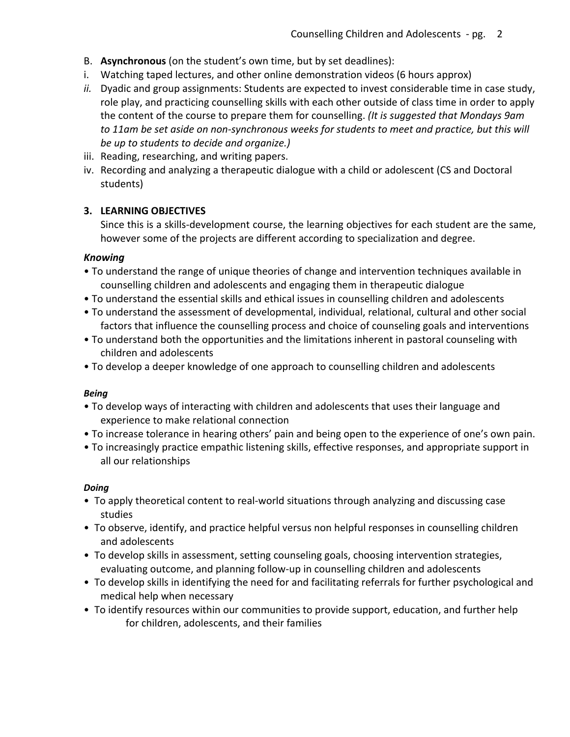- B. **Asynchronous** (on the student's own time, but by set deadlines):
- i. Watching taped lectures, and other online demonstration videos (6 hours approx)
- *ii.* Dyadic and group assignments: Students are expected to invest considerable time in case study, role play, and practicing counselling skills with each other outside of class time in order to apply the content of the course to prepare them for counselling. *(It is suggested that Mondays 9am*  to 11am be set aside on non-synchronous weeks for students to meet and practice, but this will *be up to students to decide and organize.)*
- iii. Reading, researching, and writing papers.
- iv. Recording and analyzing a therapeutic dialogue with a child or adolescent (CS and Doctoral students)

## **3. LEARNING OBJECTIVES**

Since this is a skills-development course, the learning objectives for each student are the same, however some of the projects are different according to specialization and degree.

## *Knowing*

- To understand the range of unique theories of change and intervention techniques available in counselling children and adolescents and engaging them in therapeutic dialogue
- To understand the essential skills and ethical issues in counselling children and adolescents
- To understand the assessment of developmental, individual, relational, cultural and other social factors that influence the counselling process and choice of counseling goals and interventions
- To understand both the opportunities and the limitations inherent in pastoral counseling with children and adolescents
- To develop a deeper knowledge of one approach to counselling children and adolescents

## *Being*

- To develop ways of interacting with children and adolescents that uses their language and experience to make relational connection
- To increase tolerance in hearing others' pain and being open to the experience of one's own pain.
- To increasingly practice empathic listening skills, effective responses, and appropriate support in all our relationships

## *Doing*

- To apply theoretical content to real-world situations through analyzing and discussing case studies
- To observe, identify, and practice helpful versus non helpful responses in counselling children and adolescents
- To develop skills in assessment, setting counseling goals, choosing intervention strategies, evaluating outcome, and planning follow-up in counselling children and adolescents
- To develop skills in identifying the need for and facilitating referrals for further psychological and medical help when necessary
- To identify resources within our communities to provide support, education, and further help for children, adolescents, and their families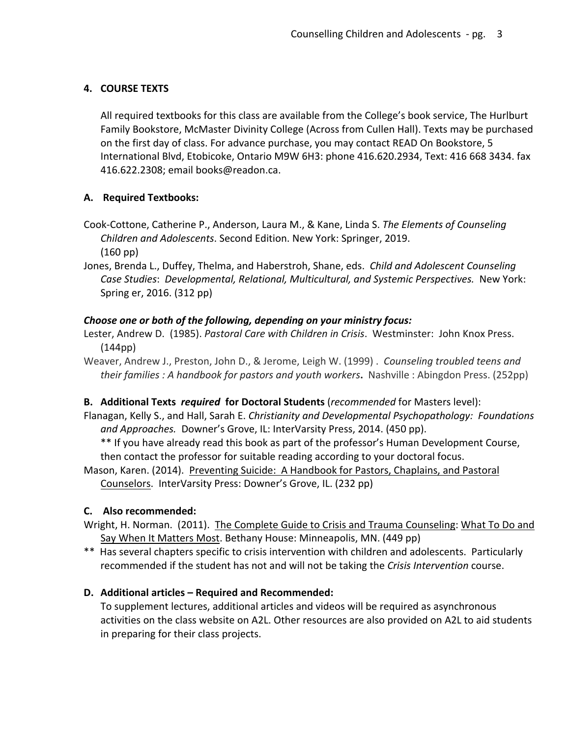# **4. COURSE TEXTS**

All required textbooks for this class are available from the College's book service, The Hurlburt Family Bookstore, McMaster Divinity College (Across from Cullen Hall). Texts may be purchased on the first day of class. For advance purchase, you may contact READ On Bookstore, 5 International Blvd, Etobicoke, Ontario M9W 6H3: phone 416.620.2934, Text: 416 668 3434. fax 416.622.2308; email books@readon.ca.

# **A. Required Textbooks:**

- Cook-Cottone, Catherine P., Anderson, Laura M., & Kane, Linda S. *The Elements of Counseling Children and Adolescents*. Second Edition. New York: Springer, 2019. (160 pp)
- Jones, Brenda L., Duffey, Thelma, and Haberstroh, Shane, eds. *Child and Adolescent Counseling Case Studies*: *Developmental, Relational, Multicultural, and Systemic Perspectives.* New York: Spring er, 2016. (312 pp)

## *Choose one or both of the following, depending on your ministry focus:*

- Lester, Andrew D. (1985). *Pastoral Care with Children in Crisis*. Westminster: John Knox Press. (144pp)
- Weaver, Andrew J., Preston, John D., & Jerome, Leigh W. (1999) .*Counseling troubled teens and their families : A handbook for pastors and youth workers***.** Nashville : Abingdon Press. (252pp)

## **B. Additional Texts** *required* **for Doctoral Students** (*recommended* for Masters level):

Flanagan, Kelly S., and Hall, Sarah E. *Christianity and Developmental Psychopathology: Foundations and Approaches.* Downer's Grove, IL: InterVarsity Press, 2014. (450 pp).

\*\* If you have already read this book as part of the professor's Human Development Course, then contact the professor for suitable reading according to your doctoral focus.

Mason, Karen. (2014). Preventing Suicide: A Handbook for Pastors, Chaplains, and Pastoral Counselors. InterVarsity Press: Downer's Grove, IL. (232 pp)

## **C. Also recommended:**

- Wright, H. Norman. (2011). The Complete Guide to Crisis and Trauma Counseling: What To Do and Say When It Matters Most. Bethany House: Minneapolis, MN. (449 pp)
- \*\* Has several chapters specific to crisis intervention with children and adolescents. Particularly recommended if the student has not and will not be taking the *Crisis Intervention* course.

# **D. Additional articles – Required and Recommended:**

To supplement lectures, additional articles and videos will be required as asynchronous activities on the class website on A2L. Other resources are also provided on A2L to aid students in preparing for their class projects.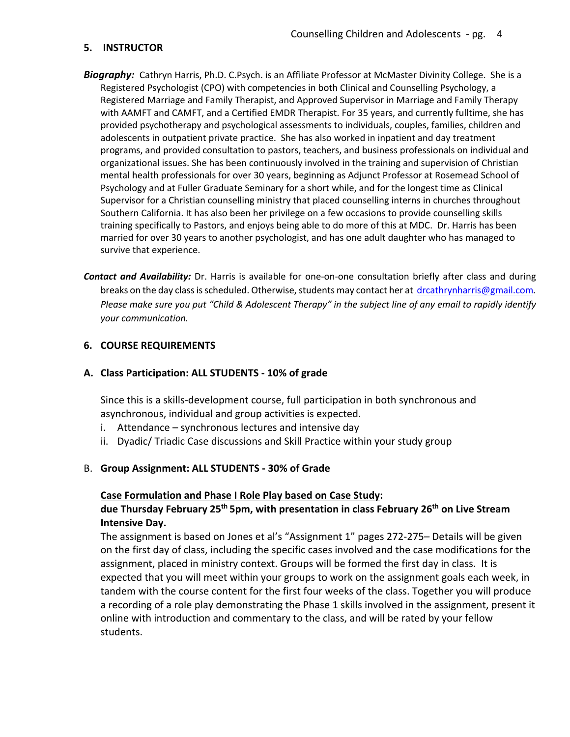#### **5. INSTRUCTOR**

- *Biography:* Cathryn Harris, Ph.D. C.Psych. is an Affiliate Professor at McMaster Divinity College. She is a Registered Psychologist (CPO) with competencies in both Clinical and Counselling Psychology, a Registered Marriage and Family Therapist, and Approved Supervisor in Marriage and Family Therapy with AAMFT and CAMFT, and a Certified EMDR Therapist. For 35 years, and currently fulltime, she has provided psychotherapy and psychological assessments to individuals, couples, families, children and adolescents in outpatient private practice. She has also worked in inpatient and day treatment programs, and provided consultation to pastors, teachers, and business professionals on individual and organizational issues. She has been continuously involved in the training and supervision of Christian mental health professionals for over 30 years, beginning as Adjunct Professor at Rosemead School of Psychology and at Fuller Graduate Seminary for a short while, and for the longest time as Clinical Supervisor for a Christian counselling ministry that placed counselling interns in churches throughout Southern California. It has also been her privilege on a few occasions to provide counselling skills training specifically to Pastors, and enjoys being able to do more of this at MDC. Dr. Harris has been married for over 30 years to another psychologist, and has one adult daughter who has managed to survive that experience.
- *Contact and Availability:* Dr. Harris is available for one-on-one consultation briefly after class and during breaks on the day class is scheduled. Otherwise, students may contact her at drcathrynharris@gmail.com*. Please make sure you put "Child & Adolescent Therapy" in the subject line of any email to rapidly identify your communication.*

#### **6. COURSE REQUIREMENTS**

**A. Class Participation: ALL STUDENTS - 10% of grade**

Since this is a skills-development course, full participation in both synchronous and asynchronous, individual and group activities is expected.

- i. Attendance synchronous lectures and intensive day
- ii. Dyadic/ Triadic Case discussions and Skill Practice within your study group

#### B. Group Assignment: ALL STUDENTS - 30% of Grade

#### **Case Formulation and Phase I Role Play based on Case Study:**

## **due Thursday February 25th 5pm, with presentation in class February 26th on Live Stream Intensive Day.**

The assignment is based on Jones et al's "Assignment 1" pages 272-275– Details will be given on the first day of class, including the specific cases involved and the case modifications for the assignment, placed in ministry context. Groups will be formed the first day in class. It is expected that you will meet within your groups to work on the assignment goals each week, in tandem with the course content for the first four weeks of the class. Together you will produce a recording of a role play demonstrating the Phase 1 skills involved in the assignment, present it online with introduction and commentary to the class, and will be rated by your fellow students.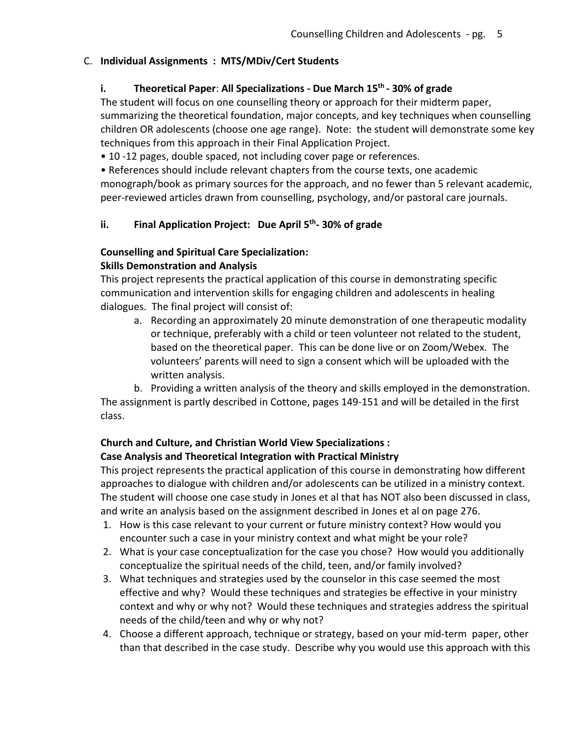## C. **Individual Assignments : MTS/MDiv/Cert Students**

# **i. Theoretical Paper**: **All Specializations - Due March 15th - 30% of grade**

The student will focus on one counselling theory or approach for their midterm paper, summarizing the theoretical foundation, major concepts, and key techniques when counselling children OR adolescents (choose one age range). Note: the student will demonstrate some key techniques from this approach in their Final Application Project.

• 10 -12 pages, double spaced, not including cover page or references.

• References should include relevant chapters from the course texts, one academic monograph/book as primary sources for the approach, and no fewer than 5 relevant academic,

peer-reviewed articles drawn from counselling, psychology, and/or pastoral care journals.

# **ii. Final Application Project: Due April 5th- 30% of grade**

# **Counselling and Spiritual Care Specialization:**

## **Skills Demonstration and Analysis**

This project represents the practical application of this course in demonstrating specific communication and intervention skills for engaging children and adolescents in healing dialogues. The final project will consist of:

a. Recording an approximately 20 minute demonstration of one therapeutic modality or technique, preferably with a child or teen volunteer not related to the student, based on the theoretical paper. This can be done live or on Zoom/Webex. The volunteers' parents will need to sign a consent which will be uploaded with the written analysis.

b. Providing a written analysis of the theory and skills employed in the demonstration. The assignment is partly described in Cottone, pages 149-151 and will be detailed in the first class.

## **Church and Culture, and Christian World View Specializations : Case Analysis and Theoretical Integration with Practical Ministry**

This project represents the practical application of this course in demonstrating how different approaches to dialogue with children and/or adolescents can be utilized in a ministry context. The student will choose one case study in Jones et al that has NOT also been discussed in class, and write an analysis based on the assignment described in Jones et al on page 276.

- 1. How is this case relevant to your current or future ministry context? How would you encounter such a case in your ministry context and what might be your role?
- 2. What is your case conceptualization for the case you chose? How would you additionally conceptualize the spiritual needs of the child, teen, and/or family involved?
- 3. What techniques and strategies used by the counselor in this case seemed the most effective and why? Would these techniques and strategies be effective in your ministry context and why or why not? Would these techniques and strategies address the spiritual needs of the child/teen and why or why not?
- 4. Choose a different approach, technique or strategy, based on your mid-term paper, other than that described in the case study. Describe why you would use this approach with this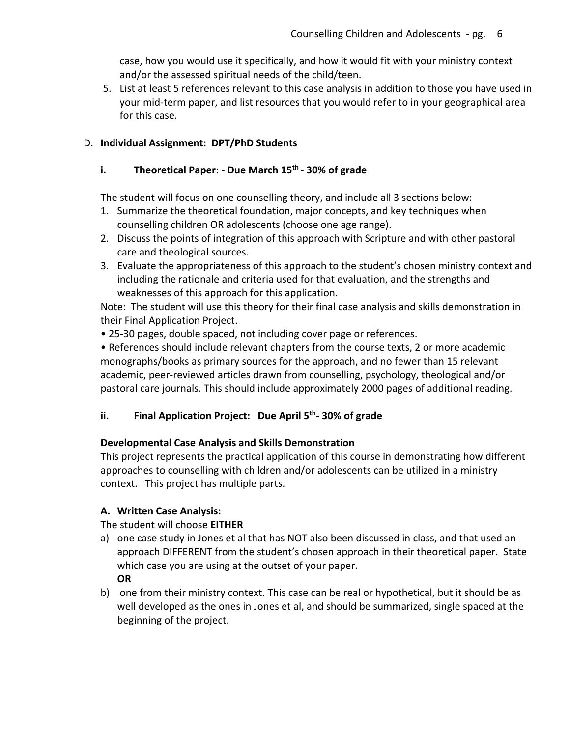case, how you would use it specifically, and how it would fit with your ministry context and/or the assessed spiritual needs of the child/teen.

5. List at least 5 references relevant to this case analysis in addition to those you have used in your mid-term paper, and list resources that you would refer to in your geographical area for this case.

## D. **Individual Assignment: DPT/PhD Students**

## **i. Theoretical Paper**: **- Due March 15th - 30% of grade**

The student will focus on one counselling theory, and include all 3 sections below:

- 1. Summarize the theoretical foundation, major concepts, and key techniques when counselling children OR adolescents (choose one age range).
- 2. Discuss the points of integration of this approach with Scripture and with other pastoral care and theological sources.
- 3. Evaluate the appropriateness of this approach to the student's chosen ministry context and including the rationale and criteria used for that evaluation, and the strengths and weaknesses of this approach for this application.

Note: The student will use this theory for their final case analysis and skills demonstration in their Final Application Project.

• 25-30 pages, double spaced, not including cover page or references.

• References should include relevant chapters from the course texts, 2 or more academic monographs/books as primary sources for the approach, and no fewer than 15 relevant academic, peer-reviewed articles drawn from counselling, psychology, theological and/or pastoral care journals. This should include approximately 2000 pages of additional reading.

# **ii. Final Application Project: Due April 5th- 30% of grade**

## **Developmental Case Analysis and Skills Demonstration**

This project represents the practical application of this course in demonstrating how different approaches to counselling with children and/or adolescents can be utilized in a ministry context. This project has multiple parts.

## **A. Written Case Analysis:**

The student will choose **EITHER**

- a) one case study in Jones et al that has NOT also been discussed in class, and that used an approach DIFFERENT from the student's chosen approach in their theoretical paper. State which case you are using at the outset of your paper. **OR**
- b) one from their ministry context. This case can be real or hypothetical, but it should be as well developed as the ones in Jones et al, and should be summarized, single spaced at the beginning of the project.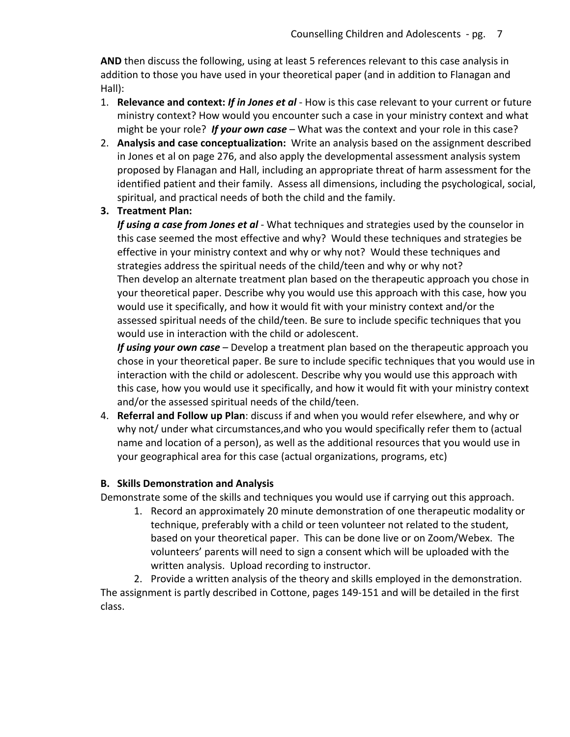**AND** then discuss the following, using at least 5 references relevant to this case analysis in addition to those you have used in your theoretical paper (and in addition to Flanagan and Hall):

- 1. **Relevance and context:** *If in Jones et al*  How is this case relevant to your current or future ministry context? How would you encounter such a case in your ministry context and what might be your role? *If your own case* – What was the context and your role in this case?
- 2. **Analysis and case conceptualization:** Write an analysis based on the assignment described in Jones et al on page 276, and also apply the developmental assessment analysis system proposed by Flanagan and Hall, including an appropriate threat of harm assessment for the identified patient and their family. Assess all dimensions, including the psychological, social, spiritual, and practical needs of both the child and the family.
- **3. Treatment Plan:**

*If using a case from Jones et al* - What techniques and strategies used by the counselor in this case seemed the most effective and why? Would these techniques and strategies be effective in your ministry context and why or why not? Would these techniques and strategies address the spiritual needs of the child/teen and why or why not? Then develop an alternate treatment plan based on the therapeutic approach you chose in your theoretical paper. Describe why you would use this approach with this case, how you would use it specifically, and how it would fit with your ministry context and/or the assessed spiritual needs of the child/teen. Be sure to include specific techniques that you would use in interaction with the child or adolescent.

*If using your own case* – Develop a treatment plan based on the therapeutic approach you chose in your theoretical paper. Be sure to include specific techniques that you would use in interaction with the child or adolescent. Describe why you would use this approach with this case, how you would use it specifically, and how it would fit with your ministry context and/or the assessed spiritual needs of the child/teen.

4. **Referral and Follow up Plan**: discuss if and when you would refer elsewhere, and why or why not/ under what circumstances,and who you would specifically refer them to (actual name and location of a person), as well as the additional resources that you would use in your geographical area for this case (actual organizations, programs, etc)

# **B. Skills Demonstration and Analysis**

Demonstrate some of the skills and techniques you would use if carrying out this approach.

1. Record an approximately 20 minute demonstration of one therapeutic modality or technique, preferably with a child or teen volunteer not related to the student, based on your theoretical paper. This can be done live or on Zoom/Webex. The volunteers' parents will need to sign a consent which will be uploaded with the written analysis. Upload recording to instructor.

2. Provide a written analysis of the theory and skills employed in the demonstration. The assignment is partly described in Cottone, pages 149-151 and will be detailed in the first class.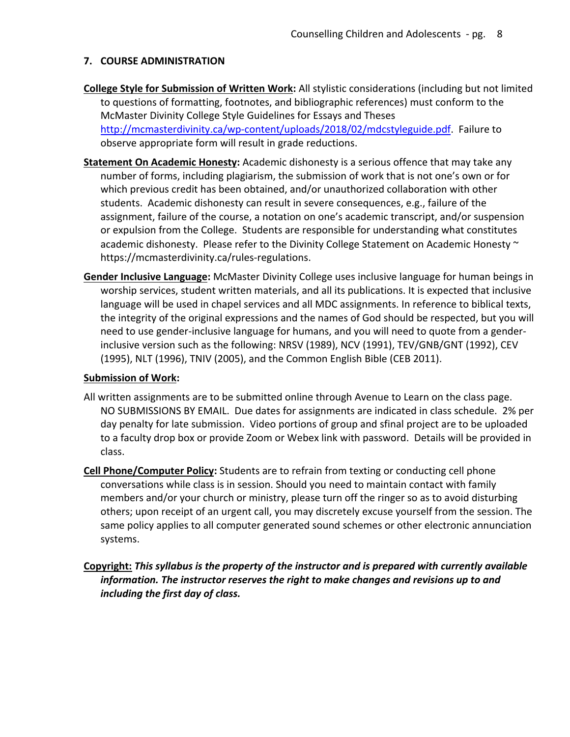## **7. COURSE ADMINISTRATION**

- **College Style for Submission of Written Work:** All stylistic considerations (including but not limited to questions of formatting, footnotes, and bibliographic references) must conform to the McMaster Divinity College Style Guidelines for Essays and Theses http://mcmasterdivinity.ca/wp-content/uploads/2018/02/mdcstyleguide.pdf. Failure to observe appropriate form will result in grade reductions.
- **Statement On Academic Honesty:** Academic dishonesty is a serious offence that may take any number of forms, including plagiarism, the submission of work that is not one's own or for which previous credit has been obtained, and/or unauthorized collaboration with other students. Academic dishonesty can result in severe consequences, e.g., failure of the assignment, failure of the course, a notation on one's academic transcript, and/or suspension or expulsion from the College. Students are responsible for understanding what constitutes academic dishonesty. Please refer to the Divinity College Statement on Academic Honesty  $\sim$ https://mcmasterdivinity.ca/rules-regulations.
- **Gender Inclusive Language:** McMaster Divinity College uses inclusive language for human beings in worship services, student written materials, and all its publications. It is expected that inclusive language will be used in chapel services and all MDC assignments. In reference to biblical texts, the integrity of the original expressions and the names of God should be respected, but you will need to use gender-inclusive language for humans, and you will need to quote from a genderinclusive version such as the following: NRSV (1989), NCV (1991), TEV/GNB/GNT (1992), CEV (1995), NLT (1996), TNIV (2005), and the Common English Bible (CEB 2011).

## **Submission of Work:**

- All written assignments are to be submitted online through Avenue to Learn on the class page. NO SUBMISSIONS BY EMAIL. Due dates for assignments are indicated in class schedule. 2% per day penalty for late submission. Video portions of group and sfinal project are to be uploaded to a faculty drop box or provide Zoom or Webex link with password. Details will be provided in class.
- **Cell Phone/Computer Policy:** Students are to refrain from texting or conducting cell phone conversations while class is in session. Should you need to maintain contact with family members and/or your church or ministry, please turn off the ringer so as to avoid disturbing others; upon receipt of an urgent call, you may discretely excuse yourself from the session. The same policy applies to all computer generated sound schemes or other electronic annunciation systems.
- **Copyright:** *This syllabus is the property of the instructor and is prepared with currently available information. The instructor reserves the right to make changes and revisions up to and including the first day of class.*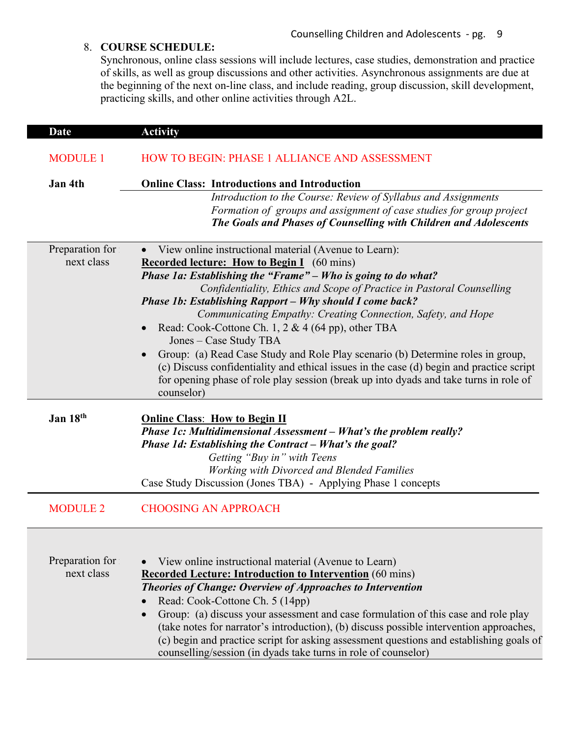# 8. **COURSE SCHEDULE:**

Synchronous, online class sessions will include lectures, case studies, demonstration and practice of skills, as well as group discussions and other activities. Asynchronous assignments are due at the beginning of the next on-line class, and include reading, group discussion, skill development, practicing skills, and other online activities through A2L.

| <b>Date</b>                   | <b>Activity</b>                                                                                                                                                               |
|-------------------------------|-------------------------------------------------------------------------------------------------------------------------------------------------------------------------------|
| <b>MODULE 1</b>               | <b>HOW TO BEGIN: PHASE 1 ALLIANCE AND ASSESSMENT</b>                                                                                                                          |
| Jan 4th                       | <b>Online Class: Introductions and Introduction</b>                                                                                                                           |
|                               | Introduction to the Course: Review of Syllabus and Assignments                                                                                                                |
|                               | Formation of groups and assignment of case studies for group project                                                                                                          |
|                               | The Goals and Phases of Counselling with Children and Adolescents                                                                                                             |
| Preparation for               | View online instructional material (Avenue to Learn):                                                                                                                         |
| next class                    | <b>Recorded lecture: How to Begin I</b> (60 mins)                                                                                                                             |
|                               | Phase 1a: Establishing the "Frame" - Who is going to do what?                                                                                                                 |
|                               | Confidentiality, Ethics and Scope of Practice in Pastoral Counselling                                                                                                         |
|                               | Phase 1b: Establishing Rapport - Why should I come back?                                                                                                                      |
|                               | Communicating Empathy: Creating Connection, Safety, and Hope                                                                                                                  |
|                               | • Read: Cook-Cottone Ch. 1, 2 & 4 (64 pp), other TBA                                                                                                                          |
|                               | Jones – Case Study TBA                                                                                                                                                        |
|                               | Group: (a) Read Case Study and Role Play scenario (b) Determine roles in group,                                                                                               |
|                               | (c) Discuss confidentiality and ethical issues in the case (d) begin and practice script                                                                                      |
|                               | for opening phase of role play session (break up into dyads and take turns in role of                                                                                         |
|                               | counselor)                                                                                                                                                                    |
| Jan 18th                      | <b>Online Class: How to Begin II</b>                                                                                                                                          |
|                               | Phase 1c: Multidimensional Assessment - What's the problem really?                                                                                                            |
|                               | Phase 1d: Establishing the Contract - What's the goal?                                                                                                                        |
|                               | Getting "Buy in" with Teens                                                                                                                                                   |
|                               | Working with Divorced and Blended Families                                                                                                                                    |
|                               | Case Study Discussion (Jones TBA) - Applying Phase 1 concepts                                                                                                                 |
| <b>MODULE 2</b>               | <b>CHOOSING AN APPROACH</b>                                                                                                                                                   |
|                               |                                                                                                                                                                               |
|                               |                                                                                                                                                                               |
|                               |                                                                                                                                                                               |
| Preparation for<br>next class | View online instructional material (Avenue to Learn)                                                                                                                          |
|                               | <b>Recorded Lecture: Introduction to Intervention</b> (60 mins)                                                                                                               |
|                               | Theories of Change: Overview of Approaches to Intervention                                                                                                                    |
|                               | Read: Cook-Cottone Ch. 5 (14pp)                                                                                                                                               |
|                               | Group: (a) discuss your assessment and case formulation of this case and role play<br>(take notes for narrator's introduction), (b) discuss possible intervention approaches, |
|                               | (c) begin and practice script for asking assessment questions and establishing goals of                                                                                       |
|                               | counselling/session (in dyads take turns in role of counselor)                                                                                                                |
|                               |                                                                                                                                                                               |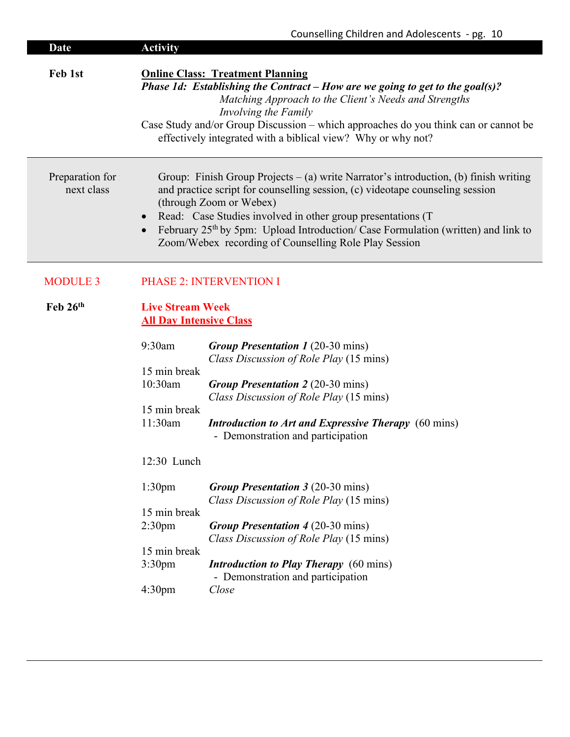| Date                          | <b>Activity</b>                                                                                                                                                               | Counselling Children and Adolescents - pg. 10                                                                                                                                                                                                                                                                                                                                                                                                                                                                 |  |
|-------------------------------|-------------------------------------------------------------------------------------------------------------------------------------------------------------------------------|---------------------------------------------------------------------------------------------------------------------------------------------------------------------------------------------------------------------------------------------------------------------------------------------------------------------------------------------------------------------------------------------------------------------------------------------------------------------------------------------------------------|--|
| Feb 1st                       |                                                                                                                                                                               | <b>Online Class: Treatment Planning</b><br>Phase 1d: Establishing the Contract – How are we going to get to the goal(s)?<br>Matching Approach to the Client's Needs and Strengths<br>Involving the Family<br>Case Study and/or Group Discussion – which approaches do you think can or cannot be<br>effectively integrated with a biblical view? Why or why not?                                                                                                                                              |  |
| Preparation for<br>next class |                                                                                                                                                                               | Group: Finish Group Projects $-$ (a) write Narrator's introduction, (b) finish writing<br>and practice script for counselling session, (c) videotape counseling session<br>(through Zoom or Webex)<br>Read: Case Studies involved in other group presentations (T<br>February 25th by 5pm: Upload Introduction/ Case Formulation (written) and link to<br>Zoom/Webex recording of Counselling Role Play Session                                                                                               |  |
| <b>MODULE 3</b>               |                                                                                                                                                                               | <b>PHASE 2: INTERVENTION I</b>                                                                                                                                                                                                                                                                                                                                                                                                                                                                                |  |
| Feb $26th$                    | <b>Live Stream Week</b><br><b>All Day Intensive Class</b>                                                                                                                     |                                                                                                                                                                                                                                                                                                                                                                                                                                                                                                               |  |
|                               | 9:30am<br>15 min break<br>10:30am<br>15 min break<br>11:30am<br>12:30 Lunch<br>1:30 <sub>pm</sub><br>15 min break<br>2:30 <sub>pm</sub><br>15 min break<br>3:30 <sub>pm</sub> | <b>Group Presentation 1 (20-30 mins)</b><br>Class Discussion of Role Play (15 mins)<br><b>Group Presentation 2 (20-30 mins)</b><br>Class Discussion of Role Play (15 mins)<br><b>Introduction to Art and Expressive Therapy</b> (60 mins)<br>- Demonstration and participation<br><b>Group Presentation 3 (20-30 mins)</b><br>Class Discussion of Role Play (15 mins)<br><b>Group Presentation 4 (20-30 mins)</b><br>Class Discussion of Role Play (15 mins)<br><b>Introduction to Play Therapy</b> (60 mins) |  |
|                               | 4:30 <sub>pm</sub>                                                                                                                                                            | - Demonstration and participation<br>Close                                                                                                                                                                                                                                                                                                                                                                                                                                                                    |  |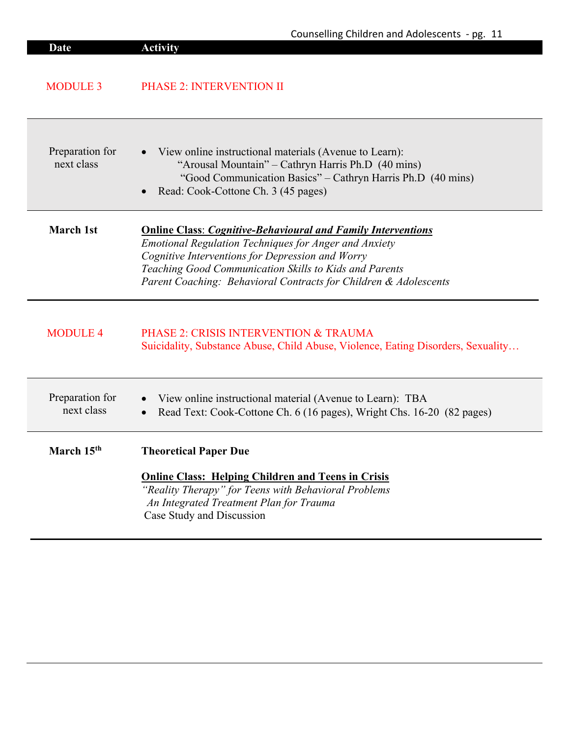|                               | Counselling Children and Adolescents - pg. 11                                                                                                                                                                                                                                                                         |
|-------------------------------|-----------------------------------------------------------------------------------------------------------------------------------------------------------------------------------------------------------------------------------------------------------------------------------------------------------------------|
| <b>Date</b>                   | <b>Activity</b>                                                                                                                                                                                                                                                                                                       |
| <b>MODULE 3</b>               | <b>PHASE 2: INTERVENTION II</b>                                                                                                                                                                                                                                                                                       |
| Preparation for<br>next class | View online instructional materials (Avenue to Learn):<br>"Arousal Mountain" – Cathryn Harris Ph.D (40 mins)<br>"Good Communication Basics" – Cathryn Harris Ph.D (40 mins)<br>Read: Cook-Cottone Ch. 3 (45 pages)                                                                                                    |
| <b>March 1st</b>              | <b>Online Class: Cognitive-Behavioural and Family Interventions</b><br><b>Emotional Regulation Techniques for Anger and Anxiety</b><br>Cognitive Interventions for Depression and Worry<br>Teaching Good Communication Skills to Kids and Parents<br>Parent Coaching: Behavioral Contracts for Children & Adolescents |
| <b>MODULE 4</b>               | PHASE 2: CRISIS INTERVENTION & TRAUMA<br>Suicidality, Substance Abuse, Child Abuse, Violence, Eating Disorders, Sexuality                                                                                                                                                                                             |
| Preparation for<br>next class | View online instructional material (Avenue to Learn): TBA<br>Read Text: Cook-Cottone Ch. 6 (16 pages), Wright Chs. 16-20 (82 pages)                                                                                                                                                                                   |
| March 15 <sup>th</sup>        | <b>Theoretical Paper Due</b>                                                                                                                                                                                                                                                                                          |
|                               | <b>Online Class: Helping Children and Teens in Crisis</b><br>"Reality Therapy" for Teens with Behavioral Problems<br>An Integrated Treatment Plan for Trauma<br>Case Study and Discussion                                                                                                                             |